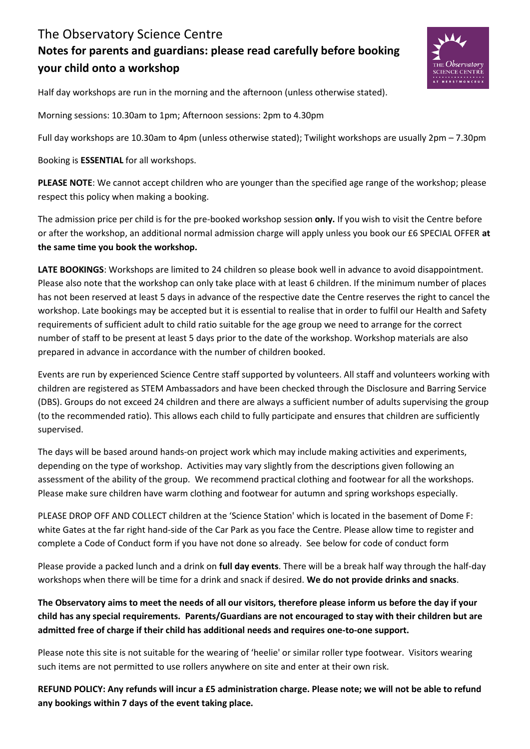## The Observatory Science Centre **Notes for parents and guardians: please read carefully before booking your child onto a workshop**



Half day workshops are run in the morning and the afternoon (unless otherwise stated).

Morning sessions: 10.30am to 1pm; Afternoon sessions: 2pm to 4.30pm

Full day workshops are 10.30am to 4pm (unless otherwise stated); Twilight workshops are usually 2pm – 7.30pm

Booking is **ESSENTIAL** for all workshops.

**PLEASE NOTE**: We cannot accept children who are younger than the specified age range of the workshop; please respect this policy when making a booking.

The admission price per child is for the pre-booked workshop session **only.** If you wish to visit the Centre before or after the workshop, an additional normal admission charge will apply unless you book our £6 SPECIAL OFFER **at the same time you book the workshop.** 

**LATE BOOKINGS**: Workshops are limited to 24 children so please book well in advance to avoid disappointment. Please also note that the workshop can only take place with at least 6 children. If the minimum number of places has not been reserved at least 5 days in advance of the respective date the Centre reserves the right to cancel the workshop. Late bookings may be accepted but it is essential to realise that in order to fulfil our Health and Safety requirements of sufficient adult to child ratio suitable for the age group we need to arrange for the correct number of staff to be present at least 5 days prior to the date of the workshop. Workshop materials are also prepared in advance in accordance with the number of children booked.

Events are run by experienced Science Centre staff supported by volunteers. All staff and volunteers working with children are registered as STEM Ambassadors and have been checked through the Disclosure and Barring Service (DBS). Groups do not exceed 24 children and there are always a sufficient number of adults supervising the group (to the recommended ratio). This allows each child to fully participate and ensures that children are sufficiently supervised.

The days will be based around hands-on project work which may include making activities and experiments, depending on the type of workshop. Activities may vary slightly from the descriptions given following an assessment of the ability of the group. We recommend practical clothing and footwear for all the workshops. Please make sure children have warm clothing and footwear for autumn and spring workshops especially.

PLEASE DROP OFF AND COLLECT children at the 'Science Station' which is located in the basement of Dome F: white Gates at the far right hand-side of the Car Park as you face the Centre. Please allow time to register and complete a Code of Conduct form if you have not done so already. See below for code of conduct form

Please provide a packed lunch and a drink on **full day events**. There will be a break half way through the half-day workshops when there will be time for a drink and snack if desired. **We do not provide drinks and snacks**.

**The Observatory aims to meet the needs of all our visitors, therefore please inform us before the day if your child has any special requirements. Parents/Guardians are not encouraged to stay with their children but are admitted free of charge if their child has additional needs and requires one-to-one support.** 

Please note this site is not suitable for the wearing of 'heelie' or similar roller type footwear. Visitors wearing such items are not permitted to use rollers anywhere on site and enter at their own risk.

**REFUND POLICY: Any refunds will incur a £5 administration charge. Please note; we will not be able to refund any bookings within 7 days of the event taking place.**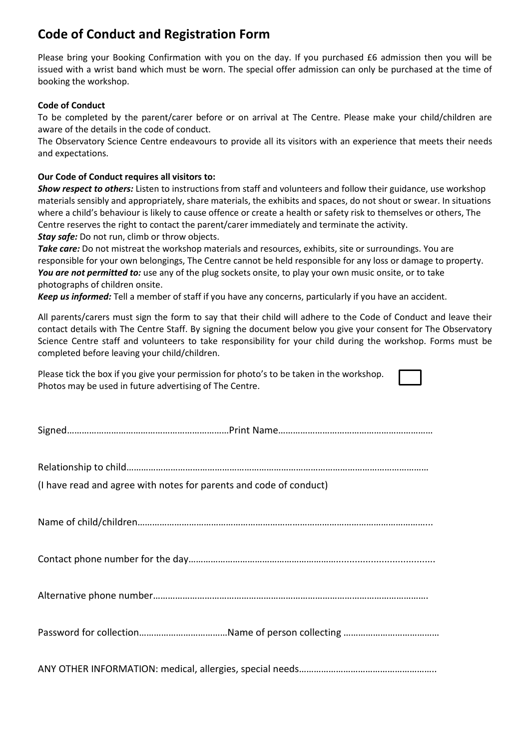## **Code of Conduct and Registration Form**

Please bring your Booking Confirmation with you on the day. If you purchased £6 admission then you will be issued with a wrist band which must be worn. The special offer admission can only be purchased at the time of booking the workshop.

## **Code of Conduct**

To be completed by the parent/carer before or on arrival at The Centre. Please make your child/children are aware of the details in the code of conduct.

The Observatory Science Centre endeavours to provide all its visitors with an experience that meets their needs and expectations.

## **Our Code of Conduct requires all visitors to:**

*Show respect to others:* Listen to instructions from staff and volunteers and follow their guidance, use workshop materials sensibly and appropriately, share materials, the exhibits and spaces, do not shout or swear. In situations where a child's behaviour is likely to cause offence or create a health or safety risk to themselves or others, The Centre reserves the right to contact the parent/carer immediately and terminate the activity. *Stay safe:* Do not run, climb or throw objects.

*Take care:* Do not mistreat the workshop materials and resources, exhibits, site or surroundings. You are responsible for your own belongings, The Centre cannot be held responsible for any loss or damage to property. You are not permitted to: use any of the plug sockets onsite, to play your own music onsite, or to take photographs of children onsite.

*Keep us informed:* Tell a member of staff if you have any concerns, particularly if you have an accident.

All parents/carers must sign the form to say that their child will adhere to the Code of Conduct and leave their contact details with The Centre Staff. By signing the document below you give your consent for The Observatory Science Centre staff and volunteers to take responsibility for your child during the workshop. Forms must be completed before leaving your child/children.

| Please tick the box if you give your permission for photo's to be taken in the workshop. |
|------------------------------------------------------------------------------------------|
| Photos may be used in future advertising of The Centre.                                  |

|--|--|--|

Relationship to child……………………………………………………………………………………………………………

(I have read and agree with notes for parents and code of conduct)

Name of child/children………………………………………………………………………………………………………...

Contact phone number for the day…………………………………………………….....................................

Alternative phone number………………………………………………………………………………………………….

Password for collection………………………………Name of person collecting …………………………………

ANY OTHER INFORMATION: medical, allergies, special needs………………………………………………..